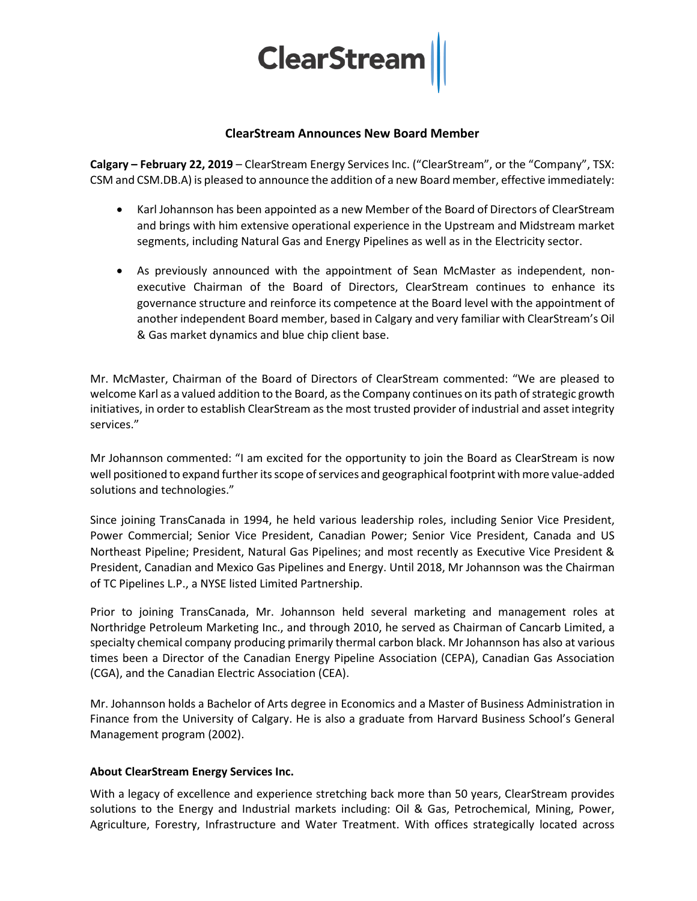

## **ClearStream Announces New Board Member**

**Calgary – February 22, 2019** – ClearStream Energy Services Inc. ("ClearStream", or the "Company", TSX: CSM and CSM.DB.A) is pleased to announce the addition of a new Board member, effective immediately:

- Karl Johannson has been appointed as a new Member of the Board of Directors of ClearStream and brings with him extensive operational experience in the Upstream and Midstream market segments, including Natural Gas and Energy Pipelines as well as in the Electricity sector.
- As previously announced with the appointment of Sean McMaster as independent, nonexecutive Chairman of the Board of Directors, ClearStream continues to enhance its governance structure and reinforce its competence at the Board level with the appointment of another independent Board member, based in Calgary and very familiar with ClearStream's Oil & Gas market dynamics and blue chip client base.

Mr. McMaster, Chairman of the Board of Directors of ClearStream commented: "We are pleased to welcome Karl as a valued addition to the Board, as the Company continues on its path of strategic growth initiatives, in order to establish ClearStream as the most trusted provider of industrial and asset integrity services."

Mr Johannson commented: "I am excited for the opportunity to join the Board as ClearStream is now well positioned to expand further its scope of services and geographical footprint with more value-added solutions and technologies."

Since joining TransCanada in 1994, he held various leadership roles, including Senior Vice President, Power Commercial; Senior Vice President, Canadian Power; Senior Vice President, Canada and US Northeast Pipeline; President, Natural Gas Pipelines; and most recently as Executive Vice President & President, Canadian and Mexico Gas Pipelines and Energy. Until 2018, Mr Johannson was the Chairman of TC Pipelines L.P., a NYSE listed Limited Partnership.

Prior to joining TransCanada, Mr. Johannson held several marketing and management roles at Northridge Petroleum Marketing Inc., and through 2010, he served as Chairman of Cancarb Limited, a specialty chemical company producing primarily thermal carbon black. Mr Johannson has also at various times been a Director of the Canadian Energy Pipeline Association (CEPA), Canadian Gas Association (CGA), and the Canadian Electric Association (CEA).

Mr. Johannson holds a Bachelor of Arts degree in Economics and a Master of Business Administration in Finance from the University of Calgary. He is also a graduate from Harvard Business School's General Management program (2002).

## **About ClearStream Energy Services Inc.**

With a legacy of excellence and experience stretching back more than 50 years, ClearStream provides solutions to the Energy and Industrial markets including: Oil & Gas, Petrochemical, Mining, Power, Agriculture, Forestry, Infrastructure and Water Treatment. With offices strategically located across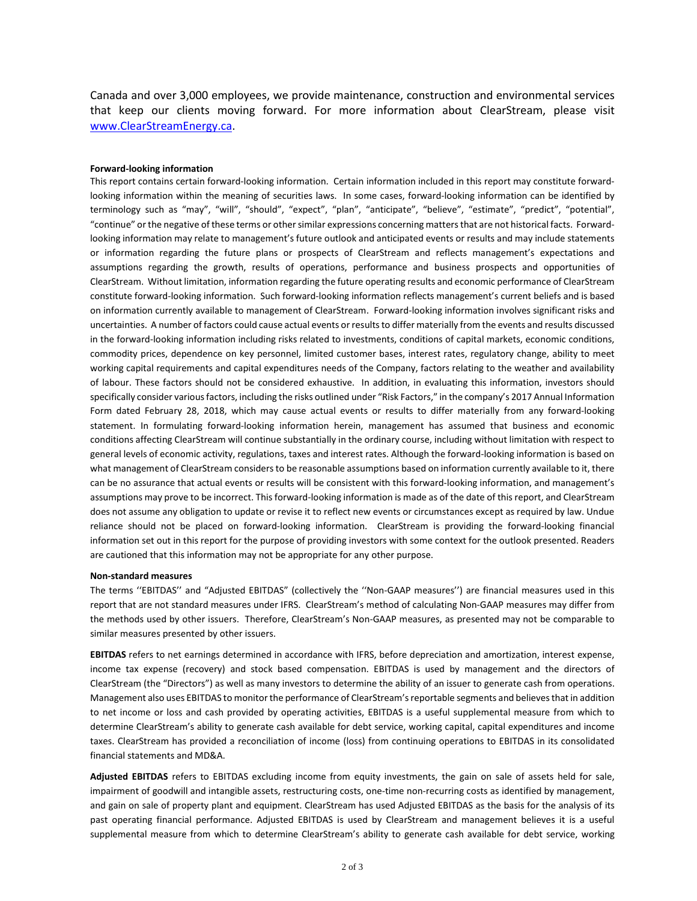Canada and over 3,000 employees, we provide maintenance, construction and environmental services that keep our clients moving forward. For more information about ClearStream, please visit [www.ClearStreamEnergy.ca.](http://www.clearstreamenergy.ca/)

## **Forward-looking information**

This report contains certain forward-looking information. Certain information included in this report may constitute forwardlooking information within the meaning of securities laws. In some cases, forward-looking information can be identified by terminology such as "may", "will", "should", "expect", "plan", "anticipate", "believe", "estimate", "predict", "potential", "continue" or the negative of these terms or other similar expressions concerning matters that are not historical facts. Forwardlooking information may relate to management's future outlook and anticipated events or results and may include statements or information regarding the future plans or prospects of ClearStream and reflects management's expectations and assumptions regarding the growth, results of operations, performance and business prospects and opportunities of ClearStream. Without limitation, information regarding the future operating results and economic performance of ClearStream constitute forward-looking information. Such forward-looking information reflects management's current beliefs and is based on information currently available to management of ClearStream. Forward-looking information involves significant risks and uncertainties. A number of factors could cause actual events or results to differ materially from the events and results discussed in the forward-looking information including risks related to investments, conditions of capital markets, economic conditions, commodity prices, dependence on key personnel, limited customer bases, interest rates, regulatory change, ability to meet working capital requirements and capital expenditures needs of the Company, factors relating to the weather and availability of labour. These factors should not be considered exhaustive. In addition, in evaluating this information, investors should specifically consider various factors, including the risks outlined under "Risk Factors," in the company's 2017 Annual Information Form dated February 28, 2018, which may cause actual events or results to differ materially from any forward-looking statement. In formulating forward-looking information herein, management has assumed that business and economic conditions affecting ClearStream will continue substantially in the ordinary course, including without limitation with respect to general levels of economic activity, regulations, taxes and interest rates. Although the forward-looking information is based on what management of ClearStream considers to be reasonable assumptions based on information currently available to it, there can be no assurance that actual events or results will be consistent with this forward-looking information, and management's assumptions may prove to be incorrect. This forward-looking information is made as of the date of this report, and ClearStream does not assume any obligation to update or revise it to reflect new events or circumstances except as required by law. Undue reliance should not be placed on forward-looking information. ClearStream is providing the forward-looking financial information set out in this report for the purpose of providing investors with some context for the outlook presented. Readers are cautioned that this information may not be appropriate for any other purpose.

## **Non-standard measures**

The terms ''EBITDAS'' and "Adjusted EBITDAS" (collectively the ''Non-GAAP measures'') are financial measures used in this report that are not standard measures under IFRS. ClearStream's method of calculating Non-GAAP measures may differ from the methods used by other issuers. Therefore, ClearStream's Non-GAAP measures, as presented may not be comparable to similar measures presented by other issuers.

**EBITDAS** refers to net earnings determined in accordance with IFRS, before depreciation and amortization, interest expense, income tax expense (recovery) and stock based compensation. EBITDAS is used by management and the directors of ClearStream (the "Directors") as well as many investors to determine the ability of an issuer to generate cash from operations. Management also uses EBITDAS to monitor the performance of ClearStream's reportable segments and believes that in addition to net income or loss and cash provided by operating activities, EBITDAS is a useful supplemental measure from which to determine ClearStream's ability to generate cash available for debt service, working capital, capital expenditures and income taxes. ClearStream has provided a reconciliation of income (loss) from continuing operations to EBITDAS in its consolidated financial statements and MD&A.

**Adjusted EBITDAS** refers to EBITDAS excluding income from equity investments, the gain on sale of assets held for sale, impairment of goodwill and intangible assets, restructuring costs, one-time non-recurring costs as identified by management, and gain on sale of property plant and equipment. ClearStream has used Adjusted EBITDAS as the basis for the analysis of its past operating financial performance. Adjusted EBITDAS is used by ClearStream and management believes it is a useful supplemental measure from which to determine ClearStream's ability to generate cash available for debt service, working